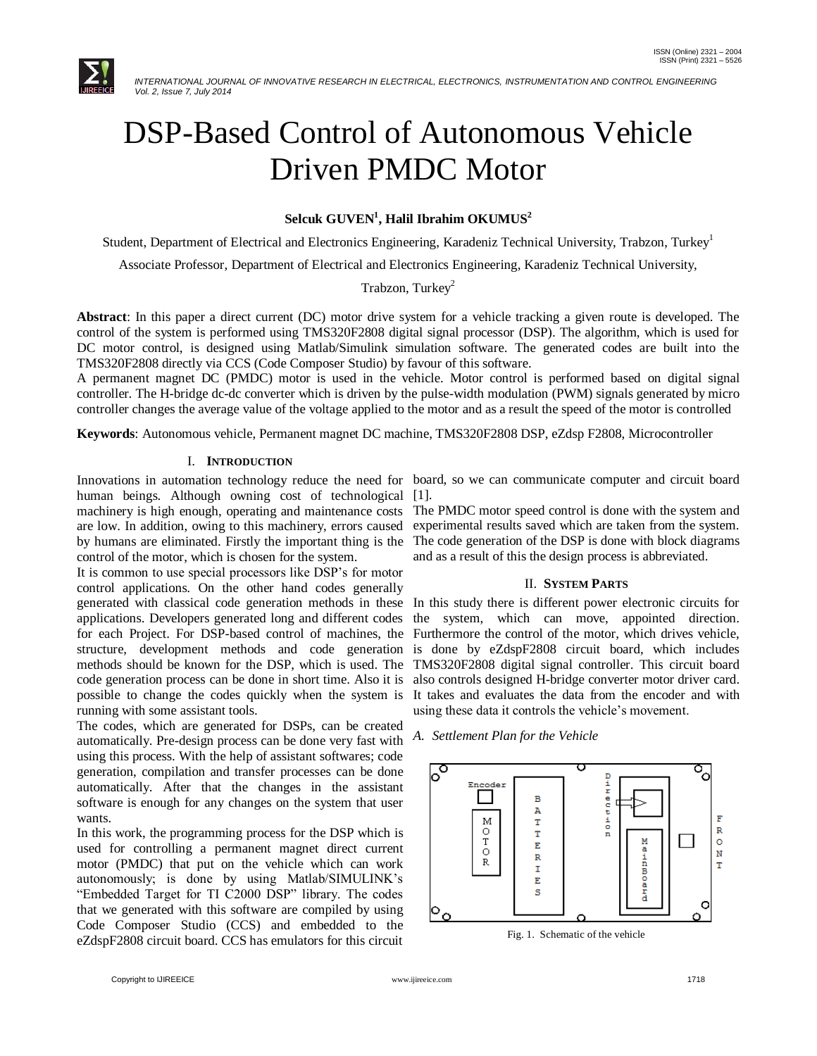

# DSP-Based Control of Autonomous Vehicle Driven PMDC Motor

# **Selcuk GUVEN<sup>1</sup> , Halil Ibrahim OKUMUS<sup>2</sup>**

Student, Department of Electrical and Electronics Engineering, Karadeniz Technical University, Trabzon, Turkey<sup>1</sup>

Associate Professor, Department of Electrical and Electronics Engineering, Karadeniz Technical University,

# Trabzon, Turkey<sup>2</sup>

**Abstract**: In this paper a direct current (DC) motor drive system for a vehicle tracking a given route is developed. The control of the system is performed using TMS320F2808 digital signal processor (DSP). The algorithm, which is used for DC motor control, is designed using Matlab/Simulink simulation software. The generated codes are built into the TMS320F2808 directly via CCS (Code Composer Studio) by favour of this software.

A permanent magnet DC (PMDC) motor is used in the vehicle. Motor control is performed based on digital signal controller. The H-bridge dc-dc converter which is driven by the pulse-width modulation (PWM) signals generated by micro controller changes the average value of the voltage applied to the motor and as a result the speed of the motor is controlled

**Keywords**: Autonomous vehicle, Permanent magnet DC machine, TMS320F2808 DSP, eZdsp F2808, Microcontroller

# I. **INTRODUCTION**

human beings. Although owning cost of technological [1]. machinery is high enough, operating and maintenance costs The PMDC motor speed control is done with the system and are low. In addition, owing to this machinery, errors caused by humans are eliminated. Firstly the important thing is the The code generation of the DSP is done with block diagrams control of the motor, which is chosen for the system.

It is common to use special processors like DSP's for motor control applications. On the other hand codes generally generated with classical code generation methods in these In this study there is different power electronic circuits for applications. Developers generated long and different codes for each Project. For DSP-based control of machines, the Furthermore the control of the motor, which drives vehicle, structure, development methods and code generation is done by eZdspF2808 circuit board, which includes methods should be known for the DSP, which is used. The TMS320F2808 digital signal controller. This circuit board code generation process can be done in short time. Also it is possible to change the codes quickly when the system is It takes and evaluates the data from the encoder and with running with some assistant tools.

The codes, which are generated for DSPs, can be created automatically. Pre-design process can be done very fast with using this process. With the help of assistant softwares; code generation, compilation and transfer processes can be done automatically. After that the changes in the assistant software is enough for any changes on the system that user wants.

In this work, the programming process for the DSP which is used for controlling a permanent magnet direct current motor (PMDC) that put on the vehicle which can work autonomously; is done by using Matlab/SIMULINK's "Embedded Target for TI C2000 DSP" library. The codes that we generated with this software are compiled by using Code Composer Studio (CCS) and embedded to the eZdspF2808 circuit board. CCS has emulators for this circuit

Innovations in automation technology reduce the need for board, so we can communicate computer and circuit board

experimental results saved which are taken from the system. and as a result of this the design process is abbreviated.

#### II. **SYSTEM PARTS**

the system, which can move, appointed direction. also controls designed H-bridge converter motor driver card. using these data it controls the vehicle's movement.

*A. Settlement Plan for the Vehicle*



Fig. 1. Schematic of the vehicle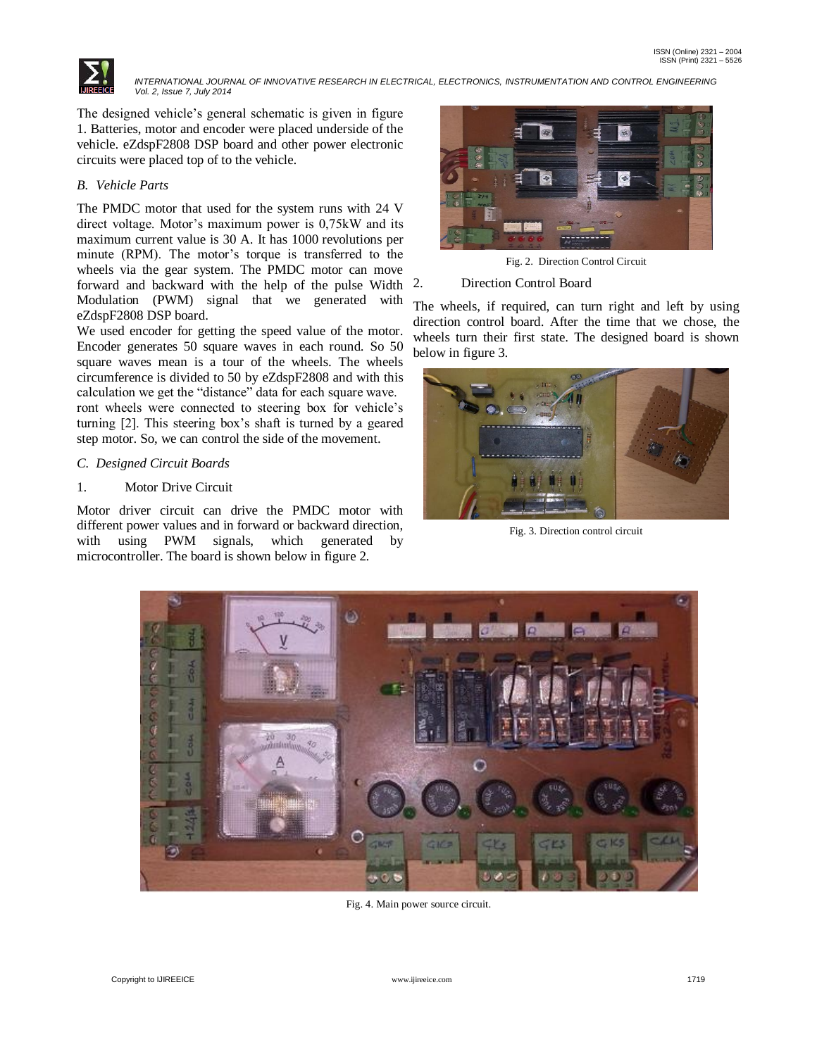

The designed vehicle's general schematic is given in figure 1. Batteries, motor and encoder were placed underside of the vehicle. eZdspF2808 DSP board and other power electronic circuits were placed top of to the vehicle.

# *B. Vehicle Parts*

The PMDC motor that used for the system runs with 24 V direct voltage. Motor's maximum power is 0,75kW and its maximum current value is 30 A. It has 1000 revolutions per minute (RPM). The motor's torque is transferred to the wheels via the gear system. The PMDC motor can move forward and backward with the help of the pulse Width Modulation (PWM) signal that we generated with eZdspF2808 DSP board.

We used encoder for getting the speed value of the motor. Encoder generates 50 square waves in each round. So 50 square waves mean is a tour of the wheels. The wheels circumference is divided to 50 by eZdspF2808 and with this calculation we get the "distance" data for each square wave. ront wheels were connected to steering box for vehicle's turning [2]. This steering box's shaft is turned by a geared step motor. So, we can control the side of the movement.

# *C. Designed Circuit Boards*

# 1. Motor Drive Circuit

Motor driver circuit can drive the PMDC motor with different power values and in forward or backward direction, with using PWM signals, which generated by microcontroller. The board is shown below in figure 2.



Fig. 2. Direction Control Circuit

#### Direction Control Board

The wheels, if required, can turn right and left by using direction control board. After the time that we chose, the wheels turn their first state. The designed board is shown below in figure 3.



Fig. 3. Direction control circuit



Fig. 4. Main power source circuit.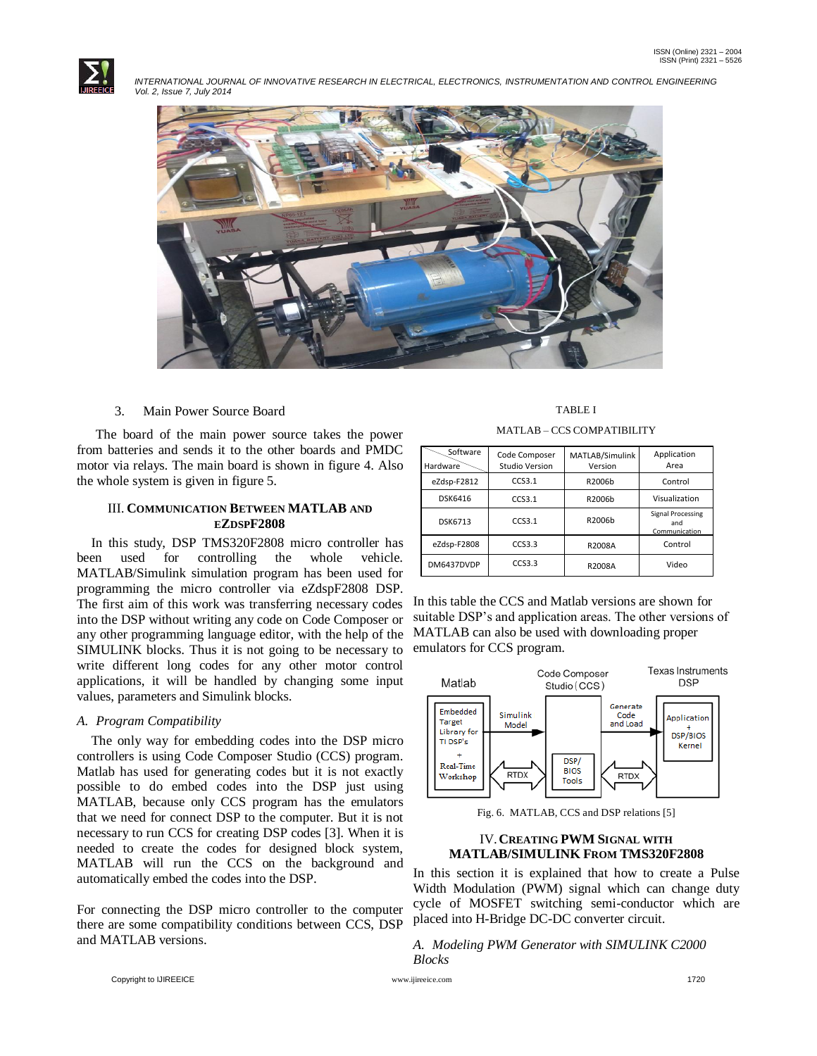



#### 3. Main Power Source Board

The board of the main power source takes the power from batteries and sends it to the other boards and PMDC motor via relays. The main board is shown in figure 4. Also the whole system is given in figure 5.

#### III. **COMMUNICATION BETWEEN MATLAB AND EZDSPF2808**

In this study, DSP TMS320F2808 micro controller has been used for controlling the whole vehicle. MATLAB/Simulink simulation program has been used for programming the micro controller via eZdspF2808 DSP. The first aim of this work was transferring necessary codes into the DSP without writing any code on Code Composer or any other programming language editor, with the help of the SIMULINK blocks. Thus it is not going to be necessary to write different long codes for any other motor control applications, it will be handled by changing some input values, parameters and Simulink blocks.

#### *A. Program Compatibility*

The only way for embedding codes into the DSP micro controllers is using Code Composer Studio (CCS) program. Matlab has used for generating codes but it is not exactly possible to do embed codes into the DSP just using MATLAB, because only CCS program has the emulators that we need for connect DSP to the computer. But it is not necessary to run CCS for creating DSP codes [3]. When it is needed to create the codes for designed block system, MATLAB will run the CCS on the background and automatically embed the codes into the DSP.

For connecting the DSP micro controller to the computer there are some compatibility conditions between CCS, DSP and MATLAB versions.

TABLE I MATLAB – CCS COMPATIBILITY

| Software<br>Hardware | Code Composer<br>Studio Version | MATLAB/Simulink<br>Version | Application<br>Area                              |
|----------------------|---------------------------------|----------------------------|--------------------------------------------------|
| eZdsp-F2812          | CCS3.1                          | R2006b                     | Control                                          |
| <b>DSK6416</b>       | CCS3.1                          | R2006b                     | Visualization                                    |
| <b>DSK6713</b>       | CCS3.1                          | R2006b                     | <b>Signal Processing</b><br>and<br>Communication |
| eZdsp-F2808          | CCS3.3                          | R2008A                     | Control                                          |
| DM6437DVDP           | CCS3.3                          | R2008A                     | Video                                            |

In this table the CCS and Matlab versions are shown for suitable DSP's and application areas. The other versions of MATLAB can also be used with downloading proper emulators for CCS program.



Fig. 6. MATLAB, CCS and DSP relations [5]

# IV.**CREATING PWM SIGNAL WITH MATLAB/SIMULINK FROM TMS320F2808**

In this section it is explained that how to create a Pulse Width Modulation (PWM) signal which can change duty cycle of MOSFET switching semi-conductor which are placed into H-Bridge DC-DC converter circuit.

*A. Modeling PWM Generator with SIMULINK C2000 Blocks*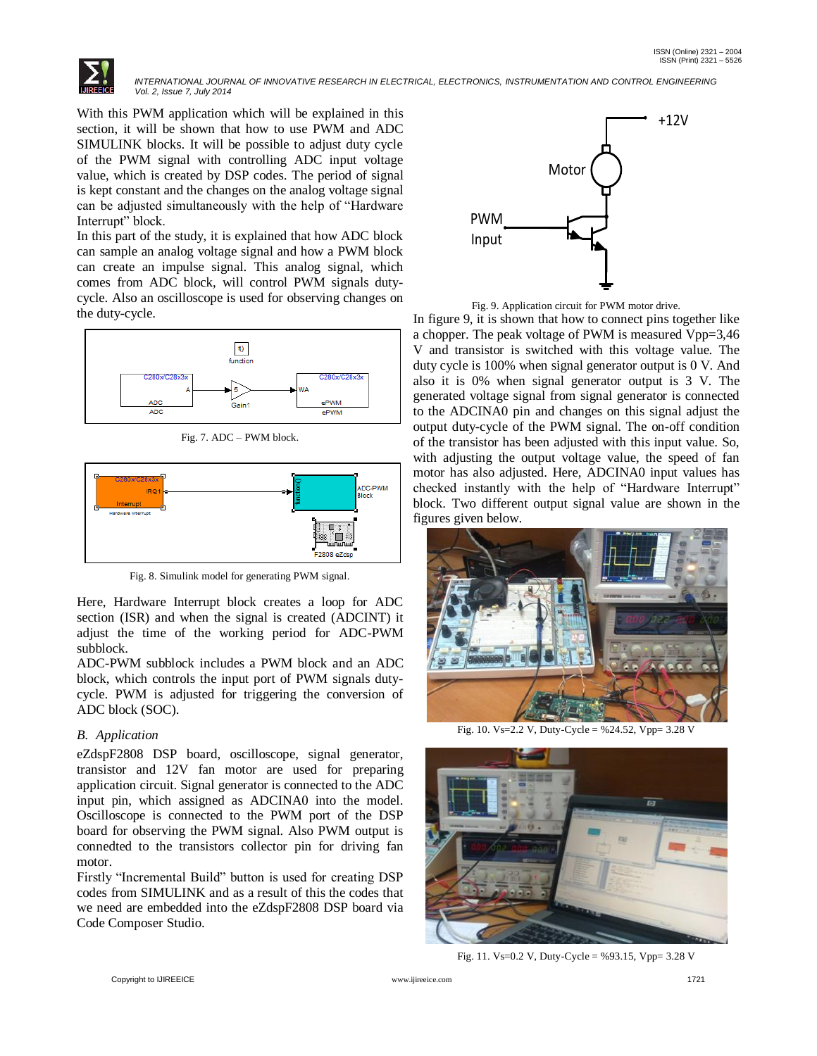

With this PWM application which will be explained in this section, it will be shown that how to use PWM and ADC SIMULINK blocks. It will be possible to adjust duty cycle of the PWM signal with controlling ADC input voltage value, which is created by DSP codes. The period of signal is kept constant and the changes on the analog voltage signal can be adjusted simultaneously with the help of "Hardware Interrupt" block.

In this part of the study, it is explained that how ADC block can sample an analog voltage signal and how a PWM block can create an impulse signal. This analog signal, which comes from ADC block, will control PWM signals dutycycle. Also an oscilloscope is used for observing changes on the duty-cycle.



Fig. 7. ADC – PWM block.



Fig. 8. Simulink model for generating PWM signal.

Here, Hardware Interrupt block creates a loop for ADC section (ISR) and when the signal is created (ADCINT) it adjust the time of the working period for ADC-PWM subblock.

ADC-PWM subblock includes a PWM block and an ADC block, which controls the input port of PWM signals dutycycle. PWM is adjusted for triggering the conversion of ADC block (SOC).

# *B. Application*

eZdspF2808 DSP board, oscilloscope, signal generator, transistor and 12V fan motor are used for preparing application circuit. Signal generator is connected to the ADC input pin, which assigned as ADCINA0 into the model. Oscilloscope is connected to the PWM port of the DSP board for observing the PWM signal. Also PWM output is connedted to the transistors collector pin for driving fan motor.

Firstly "Incremental Build" button is used for creating DSP codes from SIMULINK and as a result of this the codes that we need are embedded into the eZdspF2808 DSP board via Code Composer Studio.



Fig. 9. Application circuit for PWM motor drive.

In figure 9, it is shown that how to connect pins together like a chopper. The peak voltage of PWM is measured Vpp=3,46 V and transistor is switched with this voltage value. The duty cycle is 100% when signal generator output is 0 V. And also it is 0% when signal generator output is 3 V. The generated voltage signal from signal generator is connected to the ADCINA0 pin and changes on this signal adjust the output duty-cycle of the PWM signal. The on-off condition of the transistor has been adjusted with this input value. So, with adjusting the output voltage value, the speed of fan motor has also adjusted. Here, ADCINA0 input values has checked instantly with the help of "Hardware Interrupt" block. Two different output signal value are shown in the figures given below.



Fig. 10. Vs=2.2 V, Duty-Cycle = %24.52, Vpp= 3.28 V



Fig. 11. Vs=0.2 V, Duty-Cycle = %93.15, Vpp= 3.28 V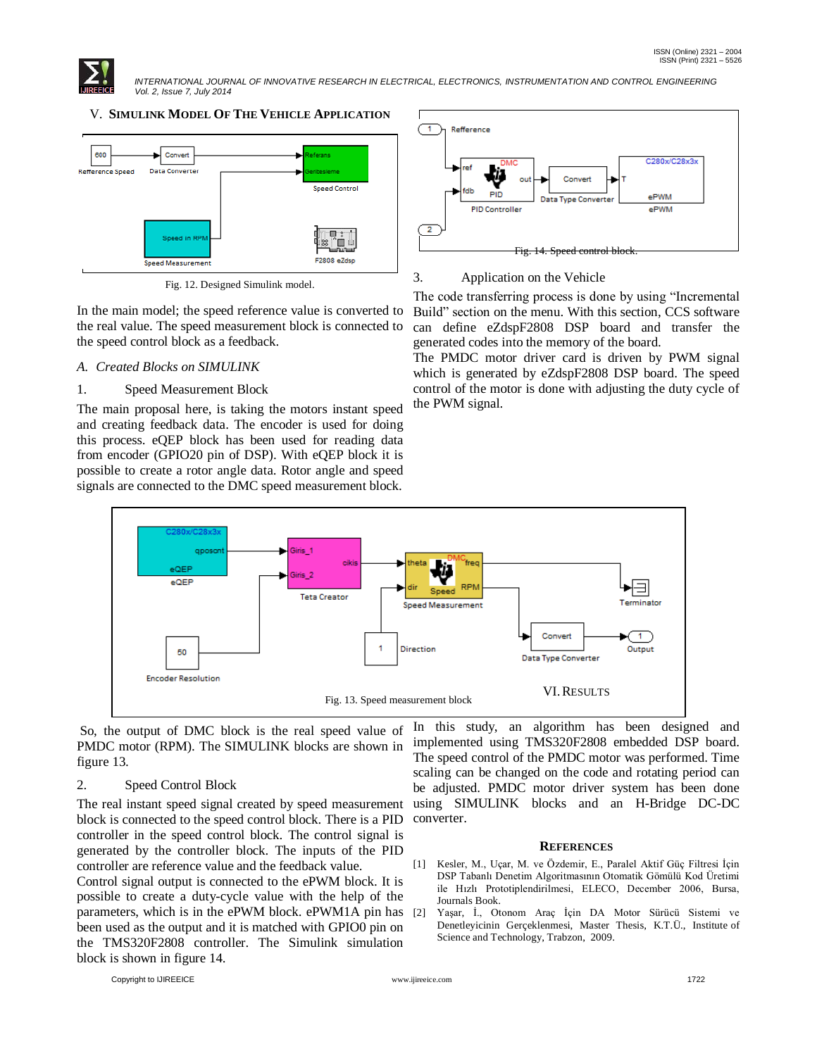

# V. **SIMULINK MODEL OF THE VEHICLE APPLICATION**



Fig. 12. Designed Simulink model.

In the main model; the speed reference value is converted to the real value. The speed measurement block is connected to the speed control block as a feedback.

# *A. Created Blocks on SIMULINK*

# 1. Speed Measurement Block

The main proposal here, is taking the motors instant speed and creating feedback data. The encoder is used for doing this process. eQEP block has been used for reading data from encoder (GPIO20 pin of DSP). With eQEP block it is possible to create a rotor angle data. Rotor angle and speed signals are connected to the DMC speed measurement block.



#### 3. Application on the Vehicle

The code transferring process is done by using "Incremental Build" section on the menu. With this section, CCS software can define eZdspF2808 DSP board and transfer the generated codes into the memory of the board.

The PMDC motor driver card is driven by PWM signal which is generated by eZdspF2808 DSP board. The speed control of the motor is done with adjusting the duty cycle of the PWM signal.



So, the output of DMC block is the real speed value of PMDC motor (RPM). The SIMULINK blocks are shown in figure 13.

#### 2. Speed Control Block

The real instant speed signal created by speed measurement block is connected to the speed control block. There is a PID controller in the speed control block. The control signal is generated by the controller block. The inputs of the PID controller are reference value and the feedback value. Control signal output is connected to the ePWM block. It is possible to create a duty-cycle value with the help of the parameters, which is in the ePWM block. ePWM1A pin has been used as the output and it is matched with GPIO0 pin on

the TMS320F2808 controller. The Simulink simulation

In this study, an algorithm has been designed and implemented using TMS320F2808 embedded DSP board. The speed control of the PMDC motor was performed. Time scaling can be changed on the code and rotating period can be adjusted. PMDC motor driver system has been done using SIMULINK blocks and an H-Bridge DC-DC converter.

#### **REFERENCES**

- [1] Kesler, M., Uçar, M. ve Özdemir, E., Paralel Aktif Güç Filtresi İçin DSP Tabanlı Denetim Algoritmasının Otomatik Gömülü Kod Üretimi ile Hızlı Prototiplendirilmesi, ELECO, December 2006, Bursa, Journals Book.
- [2] Yaşar, İ., Otonom Araç İçin DA Motor Sürücü Sistemi ve Denetleyicinin Gerçeklenmesi, Master Thesis, K.T.Ü., Institute of Science and Technology, Trabzon, 2009.